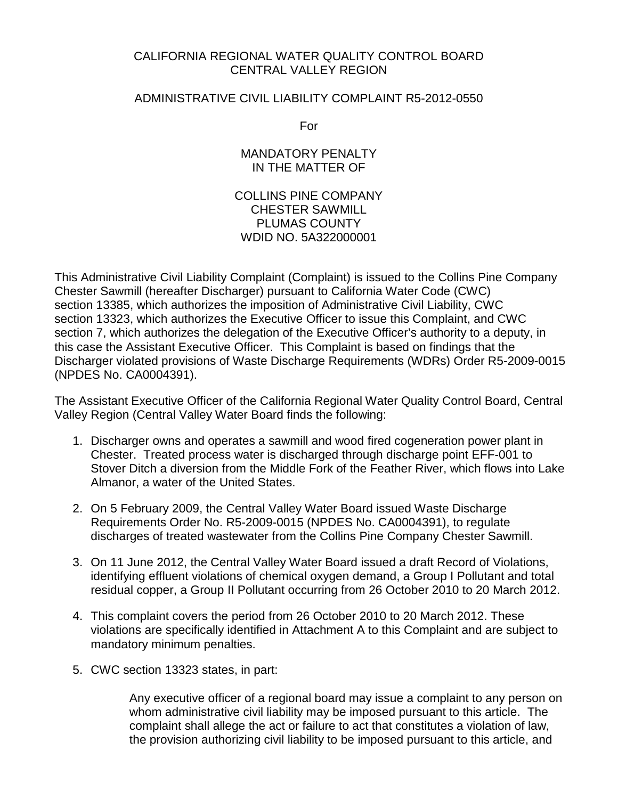# CALIFORNIA REGIONAL WATER QUALITY CONTROL BOARD CENTRAL VALLEY REGION

# ADMINISTRATIVE CIVIL LIABILITY COMPLAINT R5-2012-0550

For

MANDATORY PENALTY IN THE MATTER OF

COLLINS PINE COMPANY CHESTER SAWMILL PLUMAS COUNTY WDID NO. 5A322000001

This Administrative Civil Liability Complaint (Complaint) is issued to the Collins Pine Company Chester Sawmill (hereafter Discharger) pursuant to California Water Code (CWC) section 13385, which authorizes the imposition of Administrative Civil Liability, CWC section 13323, which authorizes the Executive Officer to issue this Complaint, and CWC section 7, which authorizes the delegation of the Executive Officer's authority to a deputy, in this case the Assistant Executive Officer. This Complaint is based on findings that the Discharger violated provisions of Waste Discharge Requirements (WDRs) Order R5-2009-0015 (NPDES No. CA0004391).

The Assistant Executive Officer of the California Regional Water Quality Control Board, Central Valley Region (Central Valley Water Board finds the following:

- 1. Discharger owns and operates a sawmill and wood fired cogeneration power plant in Chester. Treated process water is discharged through discharge point EFF-001 to Stover Ditch a diversion from the Middle Fork of the Feather River, which flows into Lake Almanor, a water of the United States.
- 2. On 5 February 2009, the Central Valley Water Board issued Waste Discharge Requirements Order No. R5-2009-0015 (NPDES No. CA0004391), to regulate discharges of treated wastewater from the Collins Pine Company Chester Sawmill.
- 3. On 11 June 2012, the Central Valley Water Board issued a draft Record of Violations, identifying effluent violations of chemical oxygen demand, a Group I Pollutant and total residual copper, a Group II Pollutant occurring from 26 October 2010 to 20 March 2012.
- 4. This complaint covers the period from 26 October 2010 to 20 March 2012. These violations are specifically identified in Attachment A to this Complaint and are subject to mandatory minimum penalties.
- 5. CWC section 13323 states, in part:

Any executive officer of a regional board may issue a complaint to any person on whom administrative civil liability may be imposed pursuant to this article. The complaint shall allege the act or failure to act that constitutes a violation of law, the provision authorizing civil liability to be imposed pursuant to this article, and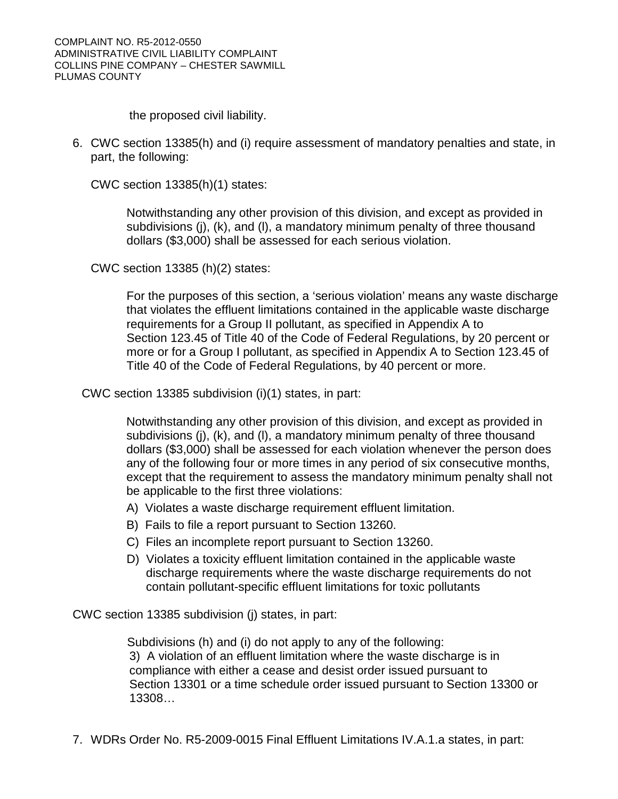the proposed civil liability.

6. CWC section 13385(h) and (i) require assessment of mandatory penalties and state, in part, the following:

CWC section 13385(h)(1) states:

Notwithstanding any other provision of this division, and except as provided in subdivisions (j), (k), and (l), a mandatory minimum penalty of three thousand dollars (\$3,000) shall be assessed for each serious violation.

CWC section 13385 (h)(2) states:

For the purposes of this section, a 'serious violation' means any waste discharge that violates the effluent limitations contained in the applicable waste discharge requirements for a Group II pollutant, as specified in Appendix A to Section 123.45 of Title 40 of the Code of Federal Regulations, by 20 percent or more or for a Group I pollutant, as specified in Appendix A to Section 123.45 of Title 40 of the Code of Federal Regulations, by 40 percent or more.

CWC section 13385 subdivision (i)(1) states, in part:

Notwithstanding any other provision of this division, and except as provided in subdivisions (j), (k), and (l), a mandatory minimum penalty of three thousand dollars (\$3,000) shall be assessed for each violation whenever the person does any of the following four or more times in any period of six consecutive months, except that the requirement to assess the mandatory minimum penalty shall not be applicable to the first three violations:

- A) Violates a waste discharge requirement effluent limitation.
- B) Fails to file a report pursuant to Section 13260.
- C) Files an incomplete report pursuant to Section 13260.
- D) Violates a toxicity effluent limitation contained in the applicable waste discharge requirements where the waste discharge requirements do not contain pollutant-specific effluent limitations for toxic pollutants

CWC section 13385 subdivision (j) states, in part:

Subdivisions (h) and (i) do not apply to any of the following: 3) A violation of an effluent limitation where the waste discharge is in compliance with either a cease and desist order issued pursuant to Section 13301 or a time schedule order issued pursuant to Section 13300 or 13308…

7. WDRs Order No. R5-2009-0015 Final Effluent Limitations IV.A.1.a states, in part: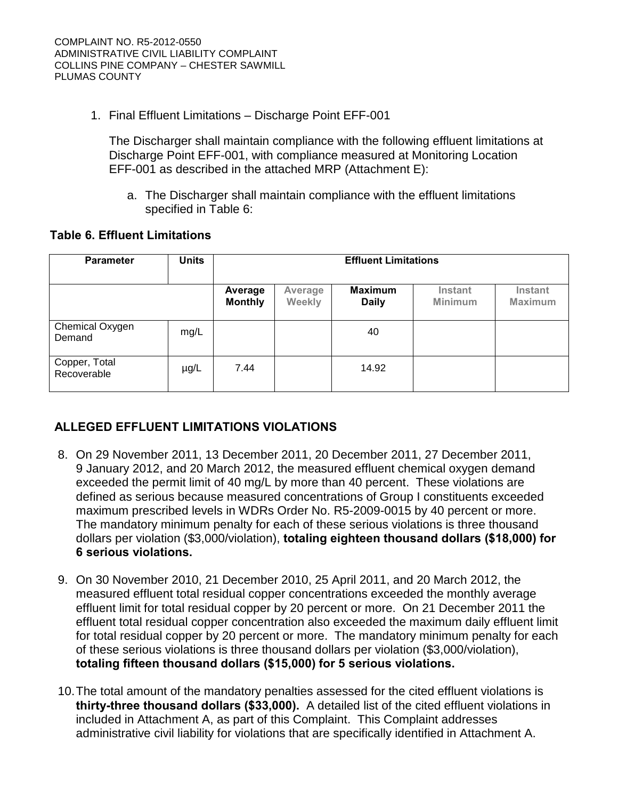1. Final Effluent Limitations – Discharge Point EFF-001

The Discharger shall maintain compliance with the following effluent limitations at Discharge Point EFF-001, with compliance measured at Monitoring Location EFF-001 as described in the attached MRP (Attachment E):

a. The Discharger shall maintain compliance with the effluent limitations specified in Table 6:

# **Table 6. Effluent Limitations**

| <b>Parameter</b>             | <b>Units</b> | <b>Effluent Limitations</b> |                   |                                |                           |                                  |  |  |
|------------------------------|--------------|-----------------------------|-------------------|--------------------------------|---------------------------|----------------------------------|--|--|
|                              |              | Average<br><b>Monthly</b>   | Average<br>Weekly | <b>Maximum</b><br><b>Daily</b> | <b>Instant</b><br>Minimum | <b>Instant</b><br><b>Maximum</b> |  |  |
| Chemical Oxygen<br>Demand    | mg/L         |                             |                   | 40                             |                           |                                  |  |  |
| Copper, Total<br>Recoverable | $\mu$ g/L    | 7.44                        |                   | 14.92                          |                           |                                  |  |  |

# **ALLEGED EFFLUENT LIMITATIONS VIOLATIONS**

- 8. On 29 November 2011, 13 December 2011, 20 December 2011, 27 December 2011, 9 January 2012, and 20 March 2012, the measured effluent chemical oxygen demand exceeded the permit limit of 40 mg/L by more than 40 percent. These violations are defined as serious because measured concentrations of Group I constituents exceeded maximum prescribed levels in WDRs Order No. R5-2009-0015 by 40 percent or more. The mandatory minimum penalty for each of these serious violations is three thousand dollars per violation (\$3,000/violation), **totaling eighteen thousand dollars (\$18,000) for 6 serious violations.**
- 9. On 30 November 2010, 21 December 2010, 25 April 2011, and 20 March 2012, the measured effluent total residual copper concentrations exceeded the monthly average effluent limit for total residual copper by 20 percent or more. On 21 December 2011 the effluent total residual copper concentration also exceeded the maximum daily effluent limit for total residual copper by 20 percent or more. The mandatory minimum penalty for each of these serious violations is three thousand dollars per violation (\$3,000/violation), **totaling fifteen thousand dollars (\$15,000) for 5 serious violations.**
- 10.The total amount of the mandatory penalties assessed for the cited effluent violations is **thirty-three thousand dollars (\$33,000).** A detailed list of the cited effluent violations in included in Attachment A, as part of this Complaint. This Complaint addresses administrative civil liability for violations that are specifically identified in Attachment A.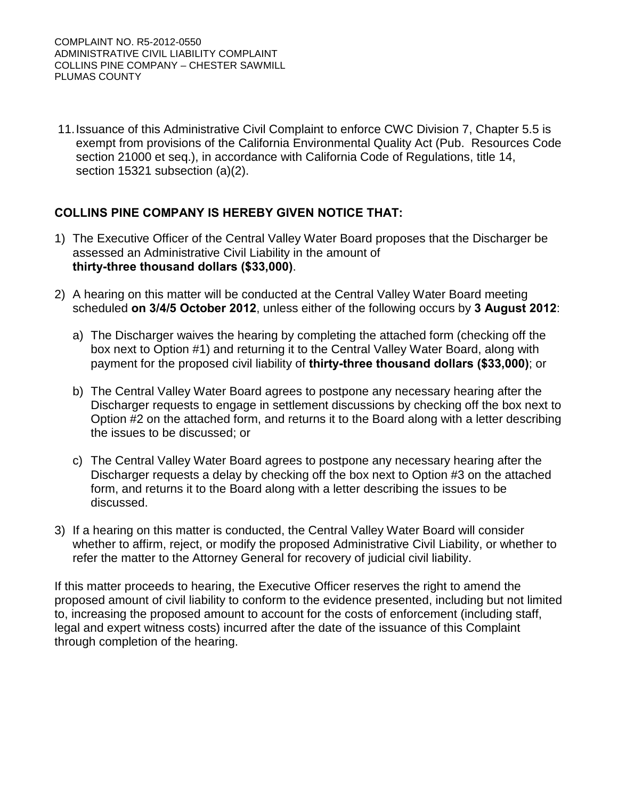11.Issuance of this Administrative Civil Complaint to enforce CWC Division 7, Chapter 5.5 is exempt from provisions of the California Environmental Quality Act (Pub. Resources Code section 21000 et seq.), in accordance with California Code of Regulations, title 14, section 15321 subsection (a)(2).

# **COLLINS PINE COMPANY IS HEREBY GIVEN NOTICE THAT:**

- 1) The Executive Officer of the Central Valley Water Board proposes that the Discharger be assessed an Administrative Civil Liability in the amount of **thirty-three thousand dollars (\$33,000)**.
- 2) A hearing on this matter will be conducted at the Central Valley Water Board meeting scheduled **on 3/4/5 October 2012**, unless either of the following occurs by **3 August 2012**:
	- a) The Discharger waives the hearing by completing the attached form (checking off the box next to Option #1) and returning it to the Central Valley Water Board, along with payment for the proposed civil liability of **thirty-three thousand dollars (\$33,000)**; or
	- b) The Central Valley Water Board agrees to postpone any necessary hearing after the Discharger requests to engage in settlement discussions by checking off the box next to Option #2 on the attached form, and returns it to the Board along with a letter describing the issues to be discussed; or
	- c) The Central Valley Water Board agrees to postpone any necessary hearing after the Discharger requests a delay by checking off the box next to Option #3 on the attached form, and returns it to the Board along with a letter describing the issues to be discussed.
- 3) If a hearing on this matter is conducted, the Central Valley Water Board will consider whether to affirm, reject, or modify the proposed Administrative Civil Liability, or whether to refer the matter to the Attorney General for recovery of judicial civil liability.

If this matter proceeds to hearing, the Executive Officer reserves the right to amend the proposed amount of civil liability to conform to the evidence presented, including but not limited to, increasing the proposed amount to account for the costs of enforcement (including staff, legal and expert witness costs) incurred after the date of the issuance of this Complaint through completion of the hearing.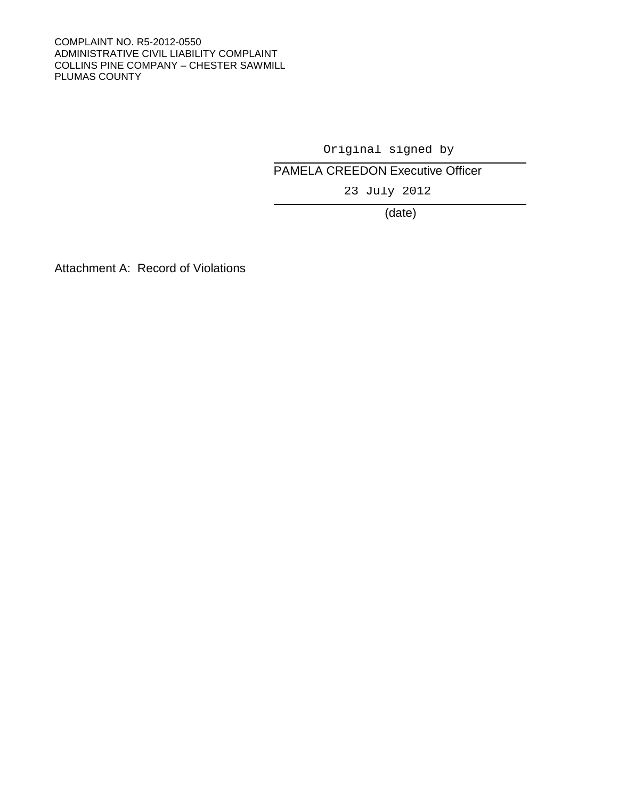#### COMPLAINT NO. R5-2012-0550 ADMINISTRATIVE CIVIL LIABILITY COMPLAINT COLLINS PINE COMPANY – CHESTER SAWMILL PLUMAS COUNTY

# PAMELA CREEDON Executive Officer Original signed by<br>CREEDON Executive O<br>23 July 2012

(date)

Attachment A: Record of Violations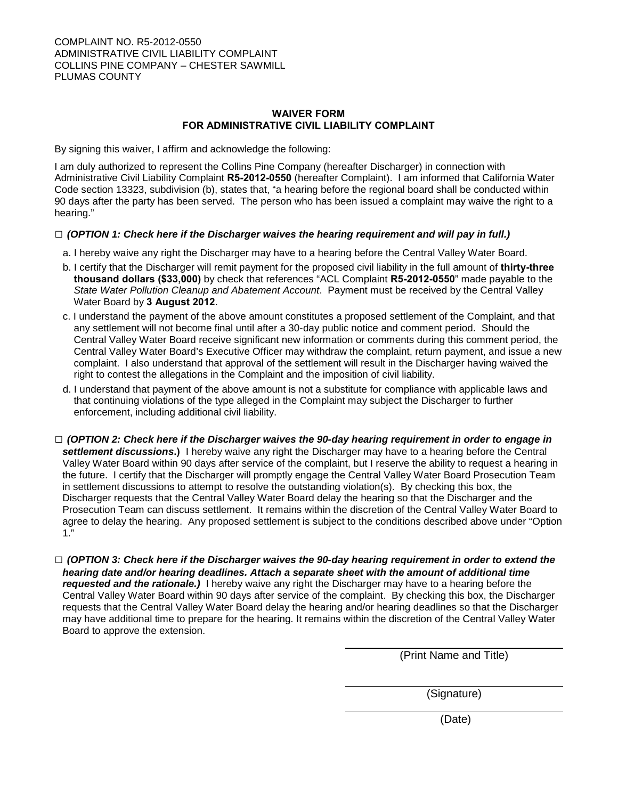#### **WAIVER FORM FOR ADMINISTRATIVE CIVIL LIABILITY COMPLAINT**

By signing this waiver, I affirm and acknowledge the following:

I am duly authorized to represent the Collins Pine Company (hereafter Discharger) in connection with Administrative Civil Liability Complaint **R5-2012-0550** (hereafter Complaint). I am informed that California Water Code section 13323, subdivision (b), states that, "a hearing before the regional board shall be conducted within 90 days after the party has been served. The person who has been issued a complaint may waive the right to a hearing."

#### **□** *(OPTION 1: Check here if the Discharger waives the hearing requirement and will pay in full.)*

- a. I hereby waive any right the Discharger may have to a hearing before the Central Valley Water Board.
- b. I certify that the Discharger will remit payment for the proposed civil liability in the full amount of **thirty-three thousand dollars (\$33,000)** by check that references "ACL Complaint **R5-2012-0550**" made payable to the *State Water Pollution Cleanup and Abatement Account*. Payment must be received by the Central Valley Water Board by **3 August 2012**.
- c. I understand the payment of the above amount constitutes a proposed settlement of the Complaint, and that any settlement will not become final until after a 30-day public notice and comment period. Should the Central Valley Water Board receive significant new information or comments during this comment period, the Central Valley Water Board's Executive Officer may withdraw the complaint, return payment, and issue a new complaint. I also understand that approval of the settlement will result in the Discharger having waived the right to contest the allegations in the Complaint and the imposition of civil liability.
- d. I understand that payment of the above amount is not a substitute for compliance with applicable laws and that continuing violations of the type alleged in the Complaint may subject the Discharger to further enforcement, including additional civil liability.
- **□** *(OPTION 2: Check here if the Discharger waives the 90-day hearing requirement in order to engage in settlement discussions***.)** I hereby waive any right the Discharger may have to a hearing before the Central Valley Water Board within 90 days after service of the complaint, but I reserve the ability to request a hearing in the future. I certify that the Discharger will promptly engage the Central Valley Water Board Prosecution Team in settlement discussions to attempt to resolve the outstanding violation(s). By checking this box, the Discharger requests that the Central Valley Water Board delay the hearing so that the Discharger and the Prosecution Team can discuss settlement. It remains within the discretion of the Central Valley Water Board to agree to delay the hearing. Any proposed settlement is subject to the conditions described above under "Option 1."
- **□** *(OPTION 3: Check here if the Discharger waives the 90-day hearing requirement in order to extend the hearing date and/or hearing deadlines. Attach a separate sheet with the amount of additional time requested and the rationale.)* I hereby waive any right the Discharger may have to a hearing before the Central Valley Water Board within 90 days after service of the complaint. By checking this box, the Discharger requests that the Central Valley Water Board delay the hearing and/or hearing deadlines so that the Discharger may have additional time to prepare for the hearing. It remains within the discretion of the Central Valley Water Board to approve the extension.

(Print Name and Title)

(Signature)

(Date)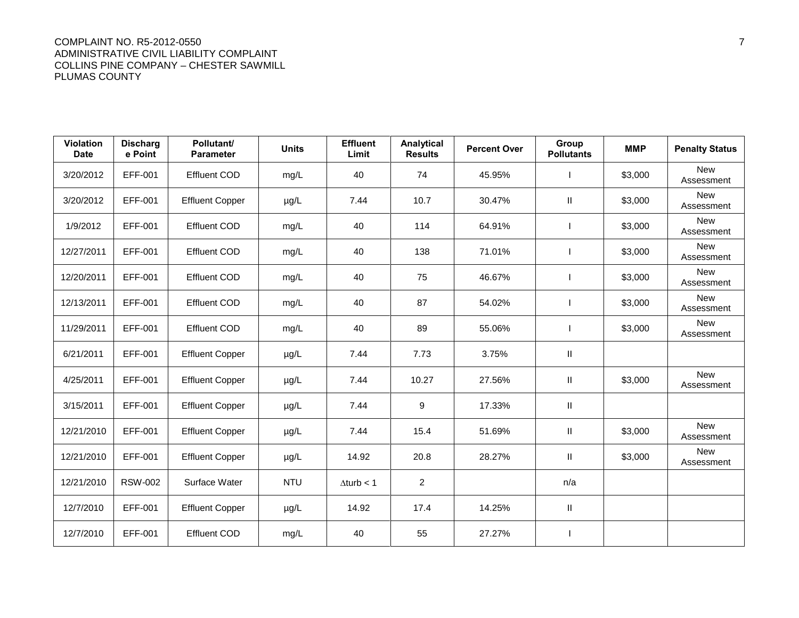#### COMPLAINT NO. R5-2012-0550 7 ADMINISTRATIVE CIVIL LIABILITY COMPLAINT COLLINS PINE COMPANY – CHESTER SAWMILL PLUMAS COUNTY

| <b>Violation</b><br><b>Date</b> | <b>Discharg</b><br>e Point | Pollutant/<br><b>Parameter</b> | <b>Units</b> | <b>Effluent</b><br>Limit | Analytical<br><b>Results</b> | <b>Percent Over</b> | Group<br><b>Pollutants</b> | <b>MMP</b> | <b>Penalty Status</b>    |
|---------------------------------|----------------------------|--------------------------------|--------------|--------------------------|------------------------------|---------------------|----------------------------|------------|--------------------------|
| 3/20/2012                       | EFF-001                    | <b>Effluent COD</b>            | mg/L         | 40                       | 74                           | 45.95%              |                            | \$3,000    | <b>New</b><br>Assessment |
| 3/20/2012                       | EFF-001                    | <b>Effluent Copper</b>         | $\mu$ g/L    | 7.44                     | 10.7                         | 30.47%              | Ш.                         | \$3,000    | <b>New</b><br>Assessment |
| 1/9/2012                        | EFF-001                    | <b>Effluent COD</b>            | mg/L         | 40                       | 114                          | 64.91%              |                            | \$3,000    | <b>New</b><br>Assessment |
| 12/27/2011                      | EFF-001                    | <b>Effluent COD</b>            | mg/L         | 40                       | 138                          | 71.01%              |                            | \$3,000    | <b>New</b><br>Assessment |
| 12/20/2011                      | EFF-001                    | <b>Effluent COD</b>            | mg/L         | 40                       | 75                           | 46.67%              |                            | \$3,000    | <b>New</b><br>Assessment |
| 12/13/2011                      | EFF-001                    | <b>Effluent COD</b>            | mg/L         | 40                       | 87                           | 54.02%              |                            | \$3,000    | <b>New</b><br>Assessment |
| 11/29/2011                      | EFF-001                    | <b>Effluent COD</b>            | mg/L         | 40                       | 89                           | 55.06%              |                            | \$3,000    | New<br>Assessment        |
| 6/21/2011                       | EFF-001                    | <b>Effluent Copper</b>         | $\mu$ g/L    | 7.44                     | 7.73                         | 3.75%               | Ш                          |            |                          |
| 4/25/2011                       | EFF-001                    | <b>Effluent Copper</b>         | $\mu$ g/L    | 7.44                     | 10.27                        | 27.56%              | Ш.                         | \$3,000    | <b>New</b><br>Assessment |
| 3/15/2011                       | EFF-001                    | <b>Effluent Copper</b>         | $\mu$ g/L    | 7.44                     | 9                            | 17.33%              | Ш.                         |            |                          |
| 12/21/2010                      | EFF-001                    | <b>Effluent Copper</b>         | $\mu$ g/L    | 7.44                     | 15.4                         | 51.69%              | Ш                          | \$3,000    | <b>New</b><br>Assessment |
| 12/21/2010                      | EFF-001                    | <b>Effluent Copper</b>         | $\mu$ g/L    | 14.92                    | 20.8                         | 28.27%              | Ш.                         | \$3,000    | <b>New</b><br>Assessment |
| 12/21/2010                      | <b>RSW-002</b>             | Surface Water                  | <b>NTU</b>   | $\Delta$ turb < 1        | $\overline{2}$               |                     | n/a                        |            |                          |
| 12/7/2010                       | EFF-001                    | <b>Effluent Copper</b>         | µg/L         | 14.92                    | 17.4                         | 14.25%              | Ш                          |            |                          |
| 12/7/2010                       | EFF-001                    | <b>Effluent COD</b>            | mg/L         | 40                       | 55                           | 27.27%              |                            |            |                          |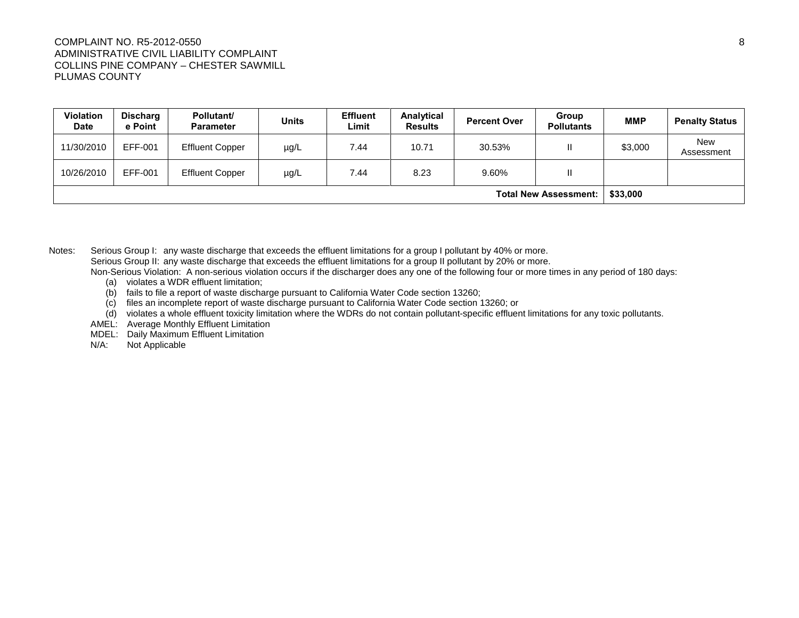#### COMPLAINT NO. R5-2012-0550 8 ADMINISTRATIVE CIVIL LIABILITY COMPLAINT COLLINS PINE COMPANY – CHESTER SAWMILL PLUMAS COUNTY

| <b>Violation</b><br><b>Date</b> | <b>Discharg</b><br>e Point | Pollutant/<br><b>Parameter</b> | <b>Units</b> | <b>Effluent</b><br>Limit | Analytical<br><b>Results</b> | <b>Percent Over</b> | Group<br><b>Pollutants</b> | <b>MMP</b> | <b>Penalty Status</b>    |
|---------------------------------|----------------------------|--------------------------------|--------------|--------------------------|------------------------------|---------------------|----------------------------|------------|--------------------------|
| 11/30/2010                      | EFF-001                    | <b>Effluent Copper</b>         | µg/L         | 7.44                     | 10.71                        | 30.53%              | Ш                          | \$3,000    | <b>New</b><br>Assessment |
| 10/26/2010                      | EFF-001                    | <b>Effluent Copper</b>         | $\mu$ g/L    | 7.44                     | 8.23                         | 9.60%               | Ш                          |            |                          |
| <b>Total New Assessment:</b>    |                            |                                |              |                          |                              | \$33,000            |                            |            |                          |

Notes: Serious Group I: any waste discharge that exceeds the effluent limitations for a group I pollutant by 40% or more. Serious Group II: any waste discharge that exceeds the effluent limitations for a group II pollutant by 20% or more. Non-Serious Violation: A non-serious violation occurs if the discharger does any one of the following four or more times in any period of 180 days:

- (a) violates a WDR effluent limitation;
- (b) fails to file a report of waste discharge pursuant to California Water Code section 13260;
- (c) files an incomplete report of waste discharge pursuant to California Water Code section 13260; or
- (d) violates a whole effluent toxicity limitation where the WDRs do not contain pollutant-specific effluent limitations for any toxic pollutants.
- AMEL: Average Monthly Effluent Limitation
- MDEL: Daily Maximum Effluent Limitation<br>N/A: Not Applicable
- Not Applicable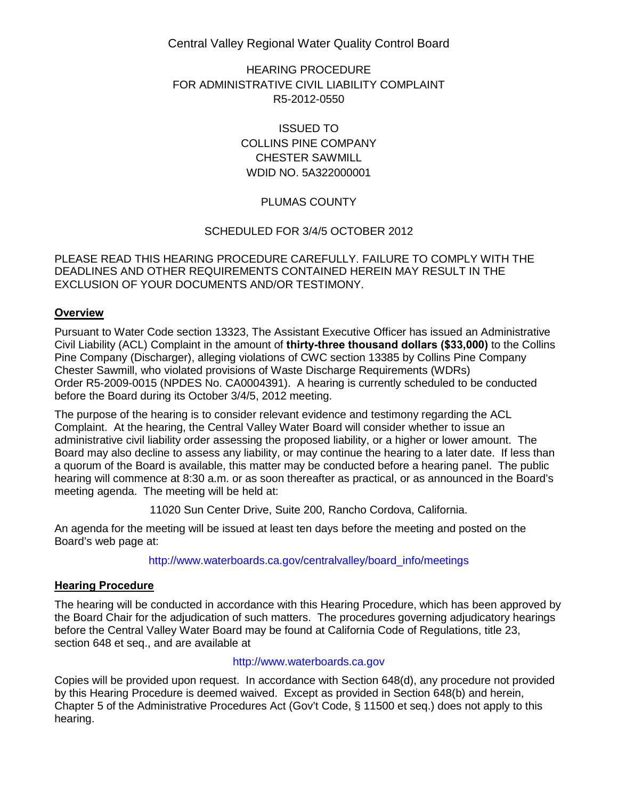Central Valley Regional Water Quality Control Board

HEARING PROCEDURE FOR ADMINISTRATIVE CIVIL LIABILITY COMPLAINT R5-2012-0550

> ISSUED TO COLLINS PINE COMPANY CHESTER SAWMILL WDID NO. 5A322000001

# PLUMAS COUNTY

## SCHEDULED FOR 3/4/5 OCTOBER 2012

PLEASE READ THIS HEARING PROCEDURE CAREFULLY. FAILURE TO COMPLY WITH THE DEADLINES AND OTHER REQUIREMENTS CONTAINED HEREIN MAY RESULT IN THE EXCLUSION OF YOUR DOCUMENTS AND/OR TESTIMONY.

## **Overview**

Pursuant to Water Code section 13323, The Assistant Executive Officer has issued an Administrative Civil Liability (ACL) Complaint in the amount of **thirty-three thousand dollars (\$33,000)** to the Collins Pine Company (Discharger), alleging violations of CWC section 13385 by Collins Pine Company Chester Sawmill, who violated provisions of Waste Discharge Requirements (WDRs) Order R5-2009-0015 (NPDES No. CA0004391). A hearing is currently scheduled to be conducted before the Board during its October 3/4/5, 2012 meeting.

The purpose of the hearing is to consider relevant evidence and testimony regarding the ACL Complaint. At the hearing, the Central Valley Water Board will consider whether to issue an administrative civil liability order assessing the proposed liability, or a higher or lower amount. The Board may also decline to assess any liability, or may continue the hearing to a later date. If less than a quorum of the Board is available, this matter may be conducted before a hearing panel. The public hearing will commence at 8:30 a.m. or as soon thereafter as practical, or as announced in the Board's meeting agenda. The meeting will be held at:

11020 Sun Center Drive, Suite 200, Rancho Cordova, California.

An agenda for the meeting will be issued at least ten days before the meeting and posted on the Board's web page at:

[http://www.waterboards.ca.gov/centralvalley/board\\_info/meetings](http://www.waterboards.ca.gov/centralvalley/board_info/meetings)

## **Hearing Procedure**

The hearing will be conducted in accordance with this Hearing Procedure, which has been approved by the Board Chair for the adjudication of such matters. The procedures governing adjudicatory hearings before the Central Valley Water Board may be found at California Code of Regulations, title 23, section 648 et seq., and are available at

#### [http://www.waterboards.ca.gov](http://www.waterboards.ca.gov/)

Copies will be provided upon request. In accordance with Section 648(d), any procedure not provided by this Hearing Procedure is deemed waived. Except as provided in Section 648(b) and herein, Chapter 5 of the Administrative Procedures Act (Gov't Code, § 11500 et seq.) does not apply to this hearing.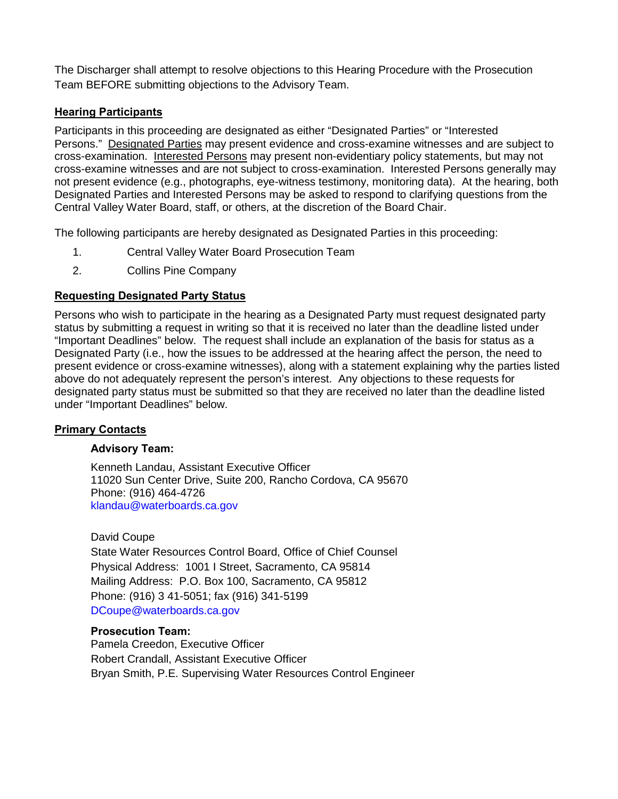The Discharger shall attempt to resolve objections to this Hearing Procedure with the Prosecution Team BEFORE submitting objections to the Advisory Team.

# **Hearing Participants**

Participants in this proceeding are designated as either "Designated Parties" or "Interested Persons." Designated Parties may present evidence and cross-examine witnesses and are subject to cross-examination. Interested Persons may present non-evidentiary policy statements, but may not cross-examine witnesses and are not subject to cross-examination. Interested Persons generally may not present evidence (e.g., photographs, eye-witness testimony, monitoring data). At the hearing, both Designated Parties and Interested Persons may be asked to respond to clarifying questions from the Central Valley Water Board, staff, or others, at the discretion of the Board Chair.

The following participants are hereby designated as Designated Parties in this proceeding:

- 1. Central Valley Water Board Prosecution Team
- 2. Collins Pine Company

# **Requesting Designated Party Status**

Persons who wish to participate in the hearing as a Designated Party must request designated party status by submitting a request in writing so that it is received no later than the deadline listed under "Important Deadlines" below. The request shall include an explanation of the basis for status as a Designated Party (i.e., how the issues to be addressed at the hearing affect the person, the need to present evidence or cross-examine witnesses), along with a statement explaining why the parties listed above do not adequately represent the person's interest. Any objections to these requests for designated party status must be submitted so that they are received no later than the deadline listed under "Important Deadlines" below.

## **Primary Contacts**

## **Advisory Team:**

Kenneth Landau, Assistant Executive Officer 11020 Sun Center Drive, Suite 200, Rancho Cordova, CA 95670 Phone: (916) 464-4726 [klandau@waterboards.ca.gov](mailto:klandau@waterboards.ca.gov) 

David Coupe

State Water Resources Control Board, Office of Chief Counsel Physical Address: 1001 I Street, Sacramento, CA 95814 Mailing Address: P.O. Box 100, Sacramento, CA 95812 Phone: (916) 3 41-5051; fax (916) 341-5199 [DCoupe@waterboards.ca.gov](mailto:DCoupe@waterboards.ca.gov)

## **Prosecution Team:**

Pamela Creedon, Executive Officer Robert Crandall, Assistant Executive Officer Bryan Smith, P.E. Supervising Water Resources Control Engineer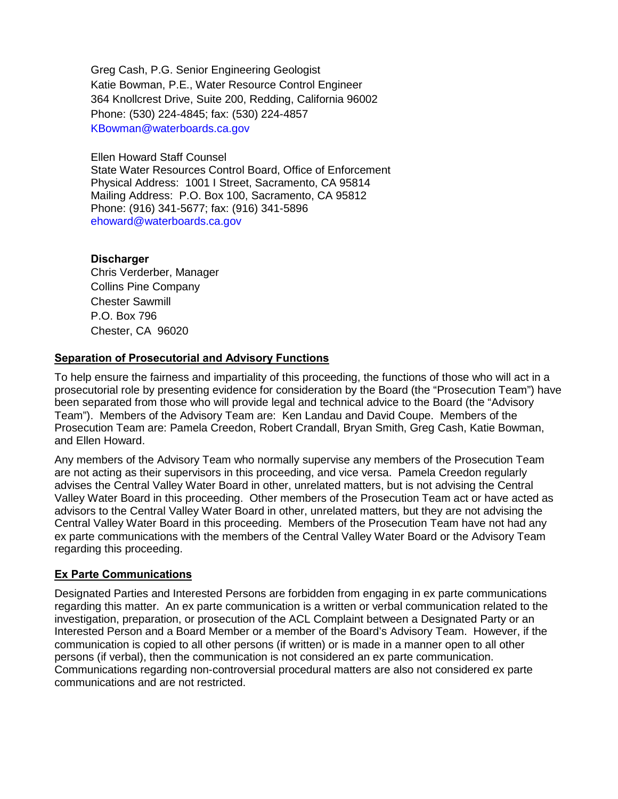Greg Cash, P.G. Senior Engineering Geologist Katie Bowman, P.E., Water Resource Control Engineer 364 Knollcrest Drive, Suite 200, Redding, California 96002 Phone: (530) 224-4845; fax: (530) 224-4857 [KBowman@waterboards.ca.gov](mailto:KBowman@waterboards.ca.gov)

Ellen Howard Staff Counsel

State Water Resources Control Board, Office of Enforcement Physical Address: 1001 I Street, Sacramento, CA 95814 Mailing Address: P.O. Box 100, Sacramento, CA 95812 Phone: (916) 341-5677; fax: (916) 341-5896 [ehoward@waterboards.ca.gov](mailto:ehoward@waterboards.ca.gov)

#### **Discharger**

Chris Verderber, Manager Collins Pine Company Chester Sawmill P.O. Box 796 Chester, CA 96020

### **Separation of Prosecutorial and Advisory Functions**

To help ensure the fairness and impartiality of this proceeding, the functions of those who will act in a prosecutorial role by presenting evidence for consideration by the Board (the "Prosecution Team") have been separated from those who will provide legal and technical advice to the Board (the "Advisory Team"). Members of the Advisory Team are: Ken Landau and David Coupe. Members of the Prosecution Team are: Pamela Creedon, Robert Crandall, Bryan Smith, Greg Cash, Katie Bowman, and Ellen Howard.

Any members of the Advisory Team who normally supervise any members of the Prosecution Team are not acting as their supervisors in this proceeding, and vice versa. Pamela Creedon regularly advises the Central Valley Water Board in other, unrelated matters, but is not advising the Central Valley Water Board in this proceeding. Other members of the Prosecution Team act or have acted as advisors to the Central Valley Water Board in other, unrelated matters, but they are not advising the Central Valley Water Board in this proceeding. Members of the Prosecution Team have not had any ex parte communications with the members of the Central Valley Water Board or the Advisory Team regarding this proceeding.

## **Ex Parte Communications**

Designated Parties and Interested Persons are forbidden from engaging in ex parte communications regarding this matter. An ex parte communication is a written or verbal communication related to the investigation, preparation, or prosecution of the ACL Complaint between a Designated Party or an Interested Person and a Board Member or a member of the Board's Advisory Team. However, if the communication is copied to all other persons (if written) or is made in a manner open to all other persons (if verbal), then the communication is not considered an ex parte communication. Communications regarding non-controversial procedural matters are also not considered ex parte communications and are not restricted.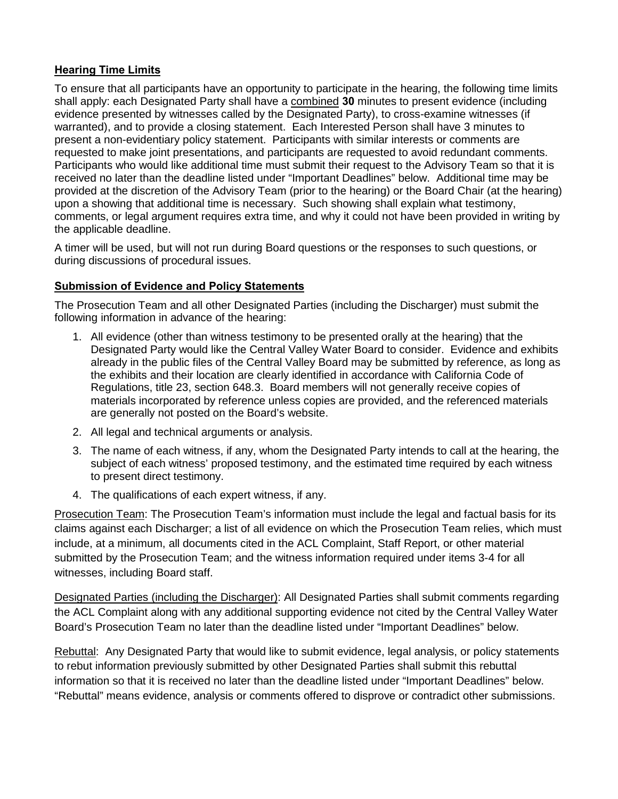# **Hearing Time Limits**

To ensure that all participants have an opportunity to participate in the hearing, the following time limits shall apply: each Designated Party shall have a combined **30** minutes to present evidence (including evidence presented by witnesses called by the Designated Party), to cross-examine witnesses (if warranted), and to provide a closing statement. Each Interested Person shall have 3 minutes to present a non-evidentiary policy statement. Participants with similar interests or comments are requested to make joint presentations, and participants are requested to avoid redundant comments. Participants who would like additional time must submit their request to the Advisory Team so that it is received no later than the deadline listed under "Important Deadlines" below. Additional time may be provided at the discretion of the Advisory Team (prior to the hearing) or the Board Chair (at the hearing) upon a showing that additional time is necessary. Such showing shall explain what testimony, comments, or legal argument requires extra time, and why it could not have been provided in writing by the applicable deadline.

A timer will be used, but will not run during Board questions or the responses to such questions, or during discussions of procedural issues.

# **Submission of Evidence and Policy Statements**

The Prosecution Team and all other Designated Parties (including the Discharger) must submit the following information in advance of the hearing:

- 1. All evidence (other than witness testimony to be presented orally at the hearing) that the Designated Party would like the Central Valley Water Board to consider. Evidence and exhibits already in the public files of the Central Valley Board may be submitted by reference, as long as the exhibits and their location are clearly identified in accordance with California Code of Regulations, title 23, section 648.3. Board members will not generally receive copies of materials incorporated by reference unless copies are provided, and the referenced materials are generally not posted on the Board's website.
- 2. All legal and technical arguments or analysis.
- 3. The name of each witness, if any, whom the Designated Party intends to call at the hearing, the subject of each witness' proposed testimony, and the estimated time required by each witness to present direct testimony.
- 4. The qualifications of each expert witness, if any.

Prosecution Team: The Prosecution Team's information must include the legal and factual basis for its claims against each Discharger; a list of all evidence on which the Prosecution Team relies, which must include, at a minimum, all documents cited in the ACL Complaint, Staff Report, or other material submitted by the Prosecution Team; and the witness information required under items 3-4 for all witnesses, including Board staff.

Designated Parties (including the Discharger): All Designated Parties shall submit comments regarding the ACL Complaint along with any additional supporting evidence not cited by the Central Valley Water Board's Prosecution Team no later than the deadline listed under "Important Deadlines" below.

Rebuttal: Any Designated Party that would like to submit evidence, legal analysis, or policy statements to rebut information previously submitted by other Designated Parties shall submit this rebuttal information so that it is received no later than the deadline listed under "Important Deadlines" below. "Rebuttal" means evidence, analysis or comments offered to disprove or contradict other submissions.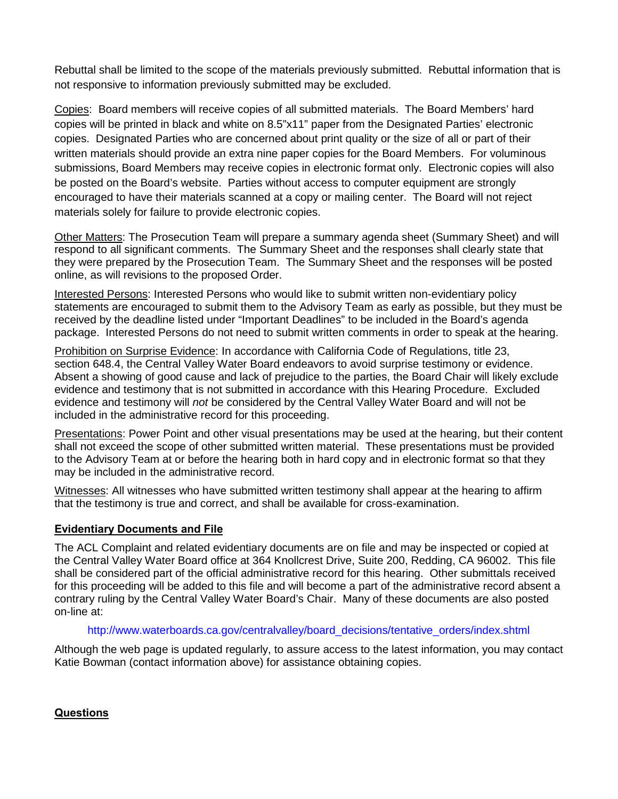Rebuttal shall be limited to the scope of the materials previously submitted. Rebuttal information that is not responsive to information previously submitted may be excluded.

Copies: Board members will receive copies of all submitted materials. The Board Members' hard copies will be printed in black and white on 8.5"x11" paper from the Designated Parties' electronic copies. Designated Parties who are concerned about print quality or the size of all or part of their written materials should provide an extra nine paper copies for the Board Members. For voluminous submissions, Board Members may receive copies in electronic format only. Electronic copies will also be posted on the Board's website. Parties without access to computer equipment are strongly encouraged to have their materials scanned at a copy or mailing center. The Board will not reject materials solely for failure to provide electronic copies.

Other Matters: The Prosecution Team will prepare a summary agenda sheet (Summary Sheet) and will respond to all significant comments. The Summary Sheet and the responses shall clearly state that they were prepared by the Prosecution Team. The Summary Sheet and the responses will be posted online, as will revisions to the proposed Order.

Interested Persons: Interested Persons who would like to submit written non-evidentiary policy statements are encouraged to submit them to the Advisory Team as early as possible, but they must be received by the deadline listed under "Important Deadlines" to be included in the Board's agenda package. Interested Persons do not need to submit written comments in order to speak at the hearing.

Prohibition on Surprise Evidence: In accordance with California Code of Regulations, title 23, section 648.4, the Central Valley Water Board endeavors to avoid surprise testimony or evidence. Absent a showing of good cause and lack of prejudice to the parties, the Board Chair will likely exclude evidence and testimony that is not submitted in accordance with this Hearing Procedure. Excluded evidence and testimony will *not* be considered by the Central Valley Water Board and will not be included in the administrative record for this proceeding.

Presentations: Power Point and other visual presentations may be used at the hearing, but their content shall not exceed the scope of other submitted written material. These presentations must be provided to the Advisory Team at or before the hearing both in hard copy and in electronic format so that they may be included in the administrative record.

Witnesses: All witnesses who have submitted written testimony shall appear at the hearing to affirm that the testimony is true and correct, and shall be available for cross-examination.

# **Evidentiary Documents and File**

The ACL Complaint and related evidentiary documents are on file and may be inspected or copied at the Central Valley Water Board office at 364 Knollcrest Drive, Suite 200, Redding, CA 96002. This file shall be considered part of the official administrative record for this hearing. Other submittals received for this proceeding will be added to this file and will become a part of the administrative record absent a contrary ruling by the Central Valley Water Board's Chair. Many of these documents are also posted on-line at:

## [http://www.waterboards.ca.gov/centralvalley/board\\_decisions/tentative\\_orders/index.shtml](http://www.waterboards.ca.gov/centralvalley/board_decisions/tentative_orders/index.shtml)

Although the web page is updated regularly, to assure access to the latest information, you may contact Katie Bowman (contact information above) for assistance obtaining copies.

**Questions**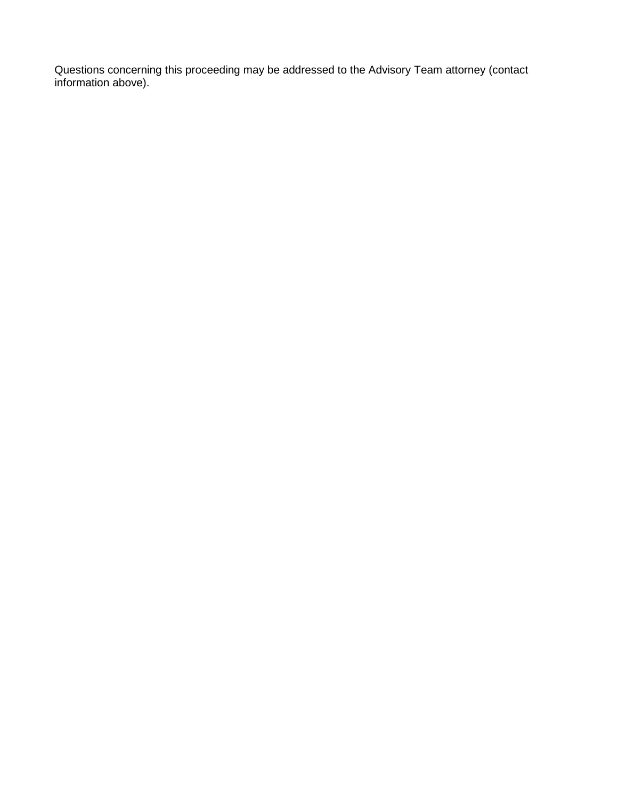Questions concerning this proceeding may be addressed to the Advisory Team attorney (contact information above).